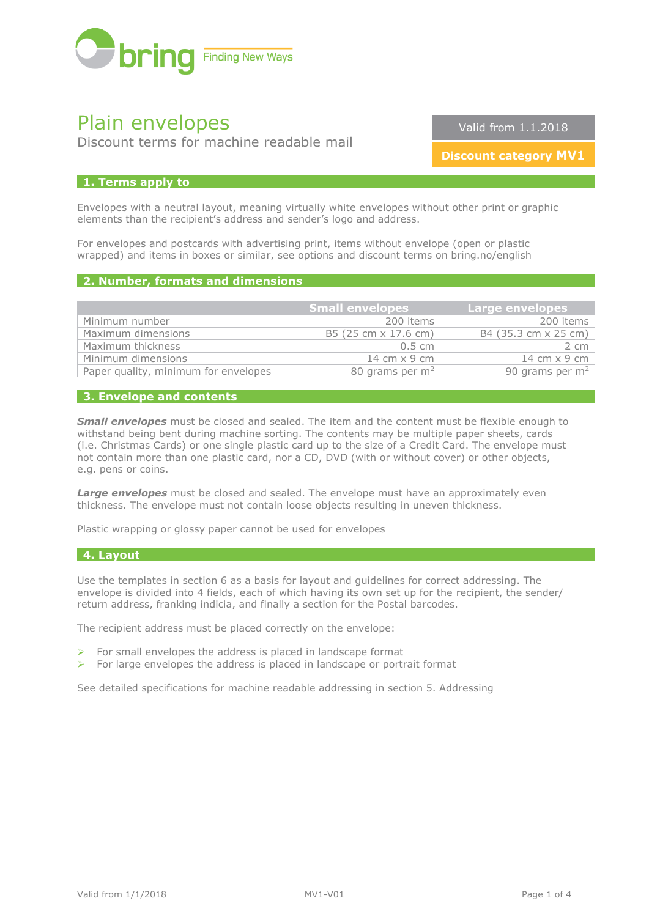

# Plain envelopes

Discount terms for machine readable mail

Valid from 1.1.2018

**Discount category MV1**

## **1. Terms apply to**

Envelopes with a neutral layout, meaning virtually white envelopes without other print or graphic elements than the recipient's address and sender's logo and address.

For envelopes and postcards with advertising print, items without envelope (open or plastic wrapped) and items in boxes or similar, [see options and discount terms on bring.no/english](http://www.bring.no/english/terms-and-conditions/mail/mail-identical-formats/discount-terms-machine-readable-mail)

# **2. Number, formats and dimensions**

|                                      | <b>Small envelopes</b> | <b>Large envelopes</b>              |
|--------------------------------------|------------------------|-------------------------------------|
| Minimum number                       | 200 items              | 200 items                           |
| Maximum dimensions                   | B5 (25 cm x 17.6 cm)   | B4 (35.3 cm x 25 cm)                |
| Maximum thickness                    | $0.5 \text{ cm}$       | $2 \, \text{cm}$                    |
| Minimum dimensions                   | 14 cm $\times$ 9 cm    | $14 \text{ cm} \times 9 \text{ cm}$ |
| Paper quality, minimum for envelopes | 80 grams per $m2$      | 90 grams per $m2$                   |

## **3. Envelope and contents**

**Small envelopes** must be closed and sealed. The item and the content must be flexible enough to withstand being bent during machine sorting. The contents may be multiple paper sheets, cards (i.e. Christmas Cards) or one single plastic card up to the size of a Credit Card. The envelope must not contain more than one plastic card, nor a CD, DVD (with or without cover) or other objects, e.g. pens or coins.

**Large envelopes** must be closed and sealed. The envelope must have an approximately even thickness. The envelope must not contain loose objects resulting in uneven thickness.

Plastic wrapping or glossy paper cannot be used for envelopes

### **4. Layout**

Use the templates in section 6 as a basis for layout and guidelines for correct addressing. The envelope is divided into 4 fields, each of which having its own set up for the recipient, the sender/ return address, franking indicia, and finally a section for the Postal barcodes.

The recipient address must be placed correctly on the envelope:

- $\triangleright$  For small envelopes the address is placed in landscape format
- $\triangleright$  For large envelopes the address is placed in landscape or portrait format

See detailed specifications for machine readable addressing in section 5. Addressing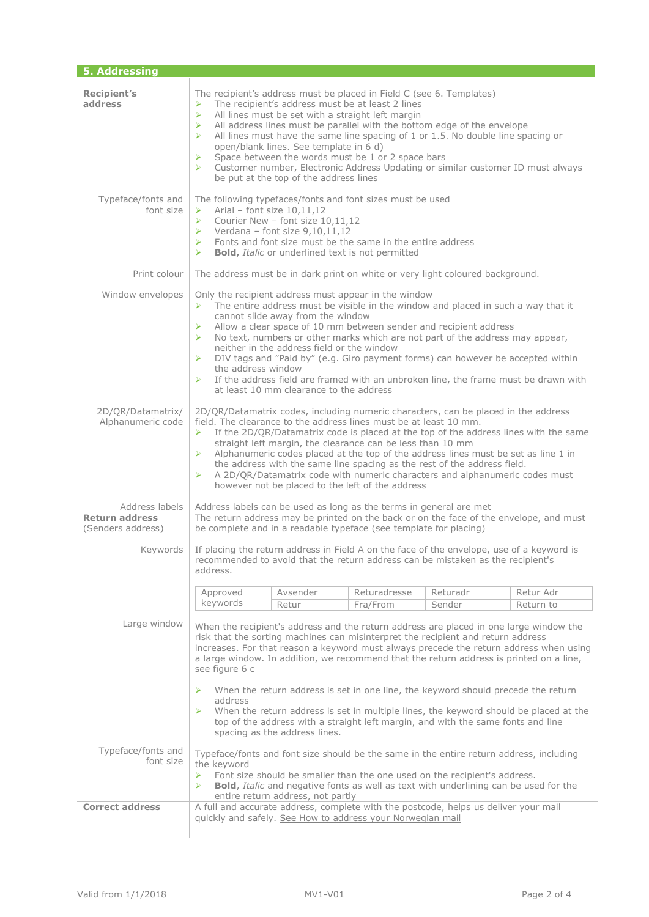| 5. Addressing                              |                                                                                                                                                                                                                                                                                                                                                                                                                                                                                                                                                                                                                                                        |                   |                          |                    |                        |  |  |
|--------------------------------------------|--------------------------------------------------------------------------------------------------------------------------------------------------------------------------------------------------------------------------------------------------------------------------------------------------------------------------------------------------------------------------------------------------------------------------------------------------------------------------------------------------------------------------------------------------------------------------------------------------------------------------------------------------------|-------------------|--------------------------|--------------------|------------------------|--|--|
| <b>Recipient's</b><br>address              | The recipient's address must be placed in Field C (see 6. Templates)<br>The recipient's address must be at least 2 lines<br>➤<br>All lines must be set with a straight left margin<br>$\blacktriangleright$<br>All address lines must be parallel with the bottom edge of the envelope<br>➤<br>All lines must have the same line spacing of 1 or 1.5. No double line spacing or<br>⋗<br>open/blank lines. See template in 6 d)<br>Space between the words must be 1 or 2 space bars<br>➤<br>Customer number, Electronic Address Updating or similar customer ID must always<br>$\triangleright$<br>be put at the top of the address lines              |                   |                          |                    |                        |  |  |
| Typeface/fonts and<br>font size            | The following typefaces/fonts and font sizes must be used<br>Arial – font size $10,11,12$<br>➤<br>Courier New - font size 10,11,12<br>$\triangleright$<br>$\triangleright$ Verdana - font size 9,10,11,12<br>$\triangleright$ Fonts and font size must be the same in the entire address<br><b>Bold, Italic or underlined text is not permitted</b><br>⋗                                                                                                                                                                                                                                                                                               |                   |                          |                    |                        |  |  |
| Print colour                               | The address must be in dark print on white or very light coloured background.                                                                                                                                                                                                                                                                                                                                                                                                                                                                                                                                                                          |                   |                          |                    |                        |  |  |
| Window envelopes                           | Only the recipient address must appear in the window<br>The entire address must be visible in the window and placed in such a way that it<br>≻<br>cannot slide away from the window<br>Allow a clear space of 10 mm between sender and recipient address<br>➤<br>No text, numbers or other marks which are not part of the address may appear,<br>⋗<br>neither in the address field or the window<br>DIV tags and "Paid by" (e.g. Giro payment forms) can however be accepted within<br>➤<br>the address window<br>If the address field are framed with an unbroken line, the frame must be drawn with<br>➤<br>at least 10 mm clearance to the address |                   |                          |                    |                        |  |  |
| 2D/QR/Datamatrix/<br>Alphanumeric code     | 2D/QR/Datamatrix codes, including numeric characters, can be placed in the address<br>field. The clearance to the address lines must be at least 10 mm.<br>If the 2D/QR/Datamatrix code is placed at the top of the address lines with the same<br>➤<br>straight left margin, the clearance can be less than 10 mm<br>Alphanumeric codes placed at the top of the address lines must be set as line 1 in<br>➤<br>the address with the same line spacing as the rest of the address field.<br>A 2D/QR/Datamatrix code with numeric characters and alphanumeric codes must<br>➤<br>however not be placed to the left of the address                      |                   |                          |                    |                        |  |  |
| Address labels                             | Address labels can be used as long as the terms in general are met                                                                                                                                                                                                                                                                                                                                                                                                                                                                                                                                                                                     |                   |                          |                    |                        |  |  |
| <b>Return address</b><br>(Senders address) | The return address may be printed on the back or on the face of the envelope, and must<br>be complete and in a readable typeface (see template for placing)                                                                                                                                                                                                                                                                                                                                                                                                                                                                                            |                   |                          |                    |                        |  |  |
| Kevwords                                   | If placing the return address in Field A on the face of the envelope, use of a keyword is<br>recommended to avoid that the return address can be mistaken as the recipient's<br>address.                                                                                                                                                                                                                                                                                                                                                                                                                                                               |                   |                          |                    |                        |  |  |
|                                            | Approved<br>keywords                                                                                                                                                                                                                                                                                                                                                                                                                                                                                                                                                                                                                                   | Avsender<br>Retur | Returadresse<br>Fra/From | Returadr<br>Sender | Retur Adr<br>Return to |  |  |
| Large window                               | When the recipient's address and the return address are placed in one large window the<br>risk that the sorting machines can misinterpret the recipient and return address<br>increases. For that reason a keyword must always precede the return address when using<br>a large window. In addition, we recommend that the return address is printed on a line,<br>see figure 6 c                                                                                                                                                                                                                                                                      |                   |                          |                    |                        |  |  |
|                                            | When the return address is set in one line, the keyword should precede the return<br>➤<br>address<br>When the return address is set in multiple lines, the keyword should be placed at the<br>➤<br>top of the address with a straight left margin, and with the same fonts and line<br>spacing as the address lines.                                                                                                                                                                                                                                                                                                                                   |                   |                          |                    |                        |  |  |
| Typeface/fonts and<br>font size            | Typeface/fonts and font size should be the same in the entire return address, including<br>the keyword<br>Font size should be smaller than the one used on the recipient's address.<br>≻<br>Bold, Italic and negative fonts as well as text with <i>underlining</i> can be used for the<br>⋗<br>entire return address, not partly                                                                                                                                                                                                                                                                                                                      |                   |                          |                    |                        |  |  |
| <b>Correct address</b>                     | A full and accurate address, complete with the postcode, helps us deliver your mail<br>quickly and safely. See How to address your Norwegian mail                                                                                                                                                                                                                                                                                                                                                                                                                                                                                                      |                   |                          |                    |                        |  |  |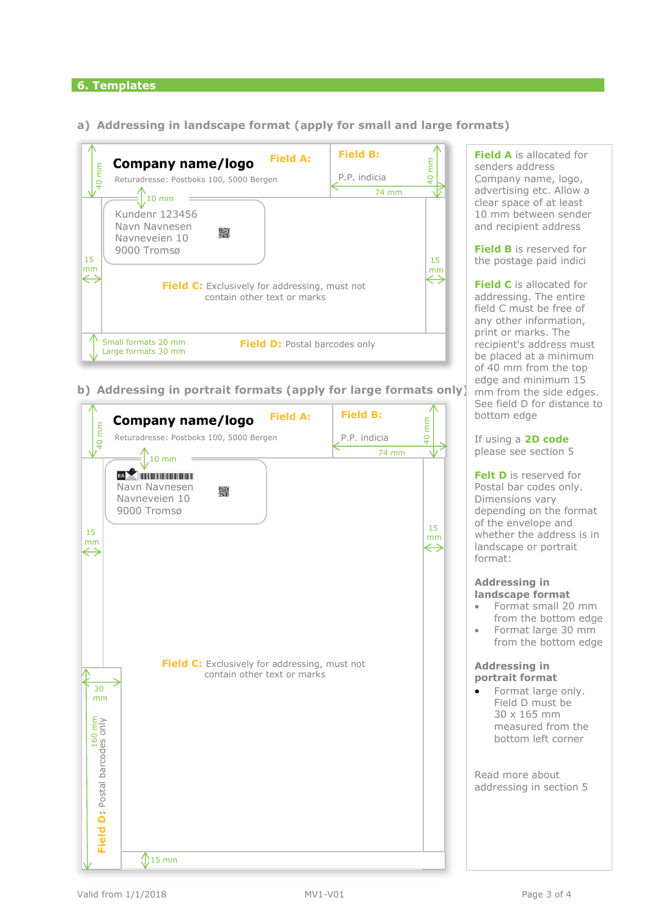## **6. Templates**

**a) Addressing in landscape format (apply for small and large formats)**



**b) Addressing in portrait formats (apply for large formats only)**



**Field A** is allocated for senders address Company name, logo, advertising etc. Allow a clear space of at least 10 mm between sender and recipient address

**Field B** is reserved for the postage paid indici

**Field C** is allocated for addressing. The entire field C must be free of any other information, print or marks. The recipient's address must be placed at a minimum of 40 mm from the top edge and minimum 15 mm from the side edges. See field D for distance to bottom edge

If using a **2D code** please see section 5

**Felt D** is reserved for Postal bar codes only. Dimensions vary depending on the format of the envelope and whether the address is in landscape or portrait format:

#### **Addressing in landscape format**

- Format small 20 mm from the bottom edge
- Format large 30 mm from the bottom edge

## **Addressing in portrait format**

• Format large only. Field D must be 30 x 165 mm measured from the bottom left corner

Read more about addressing in section 5